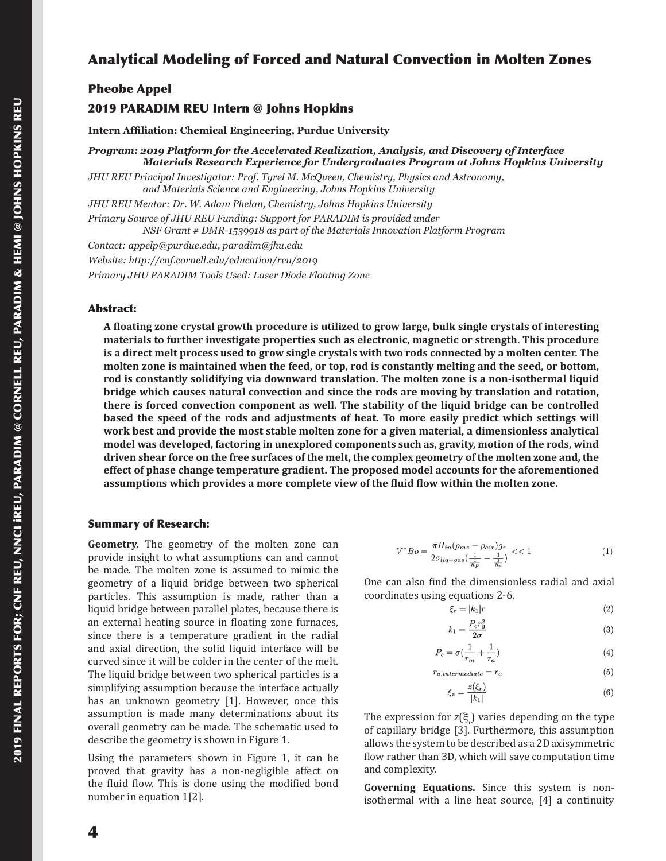# Analytical Modeling of Forced and Natural Convection in Molten Zones

# Pheobe Appel

# 2019 PARADIM REU Intern @ Johns Hopkins

**Intern Affiliation: Chemical Engineering, Purdue University**

*Program: 2019 Platform for the Accelerated Realization, Analysis, and Discovery of Interface Materials Research Experience for Undergraduates Program at Johns Hopkins University*

*JHU REU Principal Investigator: Prof. Tyrel M. McQueen, Chemistry, Physics and Astronomy, and Materials Science and Engineering, Johns Hopkins University*

*JHU REU Mentor: Dr. W. Adam Phelan, Chemistry, Johns Hopkins University*

*Primary Source of JHU REU Funding: Support for PARADIM is provided under NSF Grant # DMR-1539918 as part of the Materials Innovation Platform Program*

*Contact: appelp@purdue.edu, paradim@jhu.edu Website: http://cnf.cornell.edu/education/reu/2019 Primary JHU PARADIM Tools Used: Laser Diode Floating Zone*

## Abstract:

**A floating zone crystal growth procedure is utilized to grow large, bulk single crystals of interesting materials to further investigate properties such as electronic, magnetic or strength. This procedure is a direct melt process used to grow single crystals with two rods connected by a molten center. The molten zone is maintained when the feed, or top, rod is constantly melting and the seed, or bottom, rod is constantly solidifying via downward translation. The molten zone is a non-isothermal liquid bridge which causes natural convection and since the rods are moving by translation and rotation, there is forced convection component as well. The stability of the liquid bridge can be controlled based the speed of the rods and adjustments of heat. To more easily predict which settings will work best and provide the most stable molten zone for a given material, a dimensionless analytical model was developed, factoring in unexplored components such as, gravity, motion of the rods, wind driven shear force on the free surfaces of the melt, the complex geometry of the molten zone and, the effect of phase change temperature gradient. The proposed model accounts for the aforementioned assumptions which provides a more complete view of the fluid flow within the molten zone.**

### Summary of Research:

**Geometry.** The geometry of the molten zone can provide insight to what assumptions can and cannot be made. The molten zone is assumed to mimic the geometry of a liquid bridge between two spherical particles. This assumption is made, rather than a liquid bridge between parallel plates, because there is an external heating source in floating zone furnaces, since there is a temperature gradient in the radial and axial direction, the solid liquid interface will be curved since it will be colder in the center of the melt. The liquid bridge between two spherical particles is a simplifying assumption because the interface actually has an unknown geometry [1]. However, once this assumption is made many determinations about its overall geometry can be made. The schematic used to describe the geometry is shown in Figure 1.

Using the parameters shown in Figure 1, it can be proved that gravity has a non-negligible affect on the fluid flow. This is done using the modified bond number in equation 1[2].

$$
V^*Bo = \frac{\pi H_{in}(\rho_{mx} - \rho_{air})g_z}{2\sigma_{liq-gas}\left(\frac{1}{\frac{1}{R_F}} - \frac{1}{\frac{1}{R_s}}\right)} \ll 1
$$
 (1)

One can also find the dimensionless radial and axial coordinates using equations 2-6.

$$
\xi_r = |k_1|r \tag{2}
$$

$$
k_1 = \frac{P_c r_0^2}{2\sigma} \tag{3}
$$

$$
P_c = \sigma \left(\frac{1}{r_m} + \frac{1}{r_c}\right) \tag{4}
$$

$$
r_{a, intermediate} = r_c \tag{5}
$$

$$
\xi_z = \frac{z(\xi_r)}{|k_1|} \tag{6}
$$

The expression for  $z(\xi)$  varies depending on the type of capillary bridge [3]. Furthermore, this assumption allows the system to be described as a 2D axisymmetric flow rather than 3D, which will save computation time and complexity.

**Governing Equations.** Since this system is nonisothermal with a line heat source, [4] a continuity